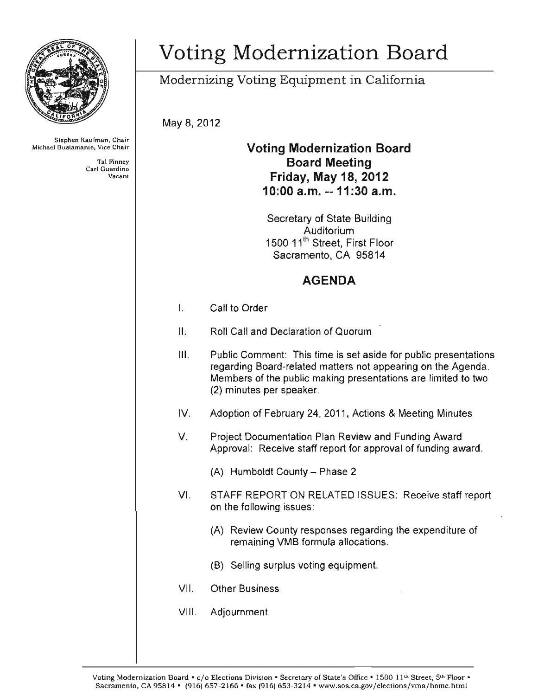

Stephen Kaufman, Chair<br>Michael Buatamante, Vice Chair

Tal Finney

## Voting Modernization Board

Modernizing Voting Equipment in California

May 8, 2012

## Voting Modernization Board Tal Finney<br>Carl Guardino<br>Vacant Carl Guardino **Friday, May 18, 2012** 10:00 a.m. -- 11 :30 a.m.

Secretary of State Building Auditorium 1500 11'h Street, First Floor Sacramento, CA 95814

## AGENDA

- I. Call to Order
- II. Roll Call and Declaration of Quorum
- **III.** Public Comment: This time is set aside for public presentations regarding Board-related matters not appearing on the Agenda. Members of the public making presentations are limited to two (2) minutes per speaker.
- IV. Adoption of February 24, 2011 , Actions & Meeting Minutes
- V. Project Documentation Plan Review and Funding Award Approval: Receive staff report for approval of funding award.
	- $(A)$  Humboldt County Phase 2
- VI. STAFF REPORT ON RELATED ISSUES: Receive staff report on the following issues:
	- (A) Review County responses regarding the expenditure of remaining VMS formula allocations.
	- (B) Selling surplus voting equipment.
- VII. Other Business
- VIII. Adjournment